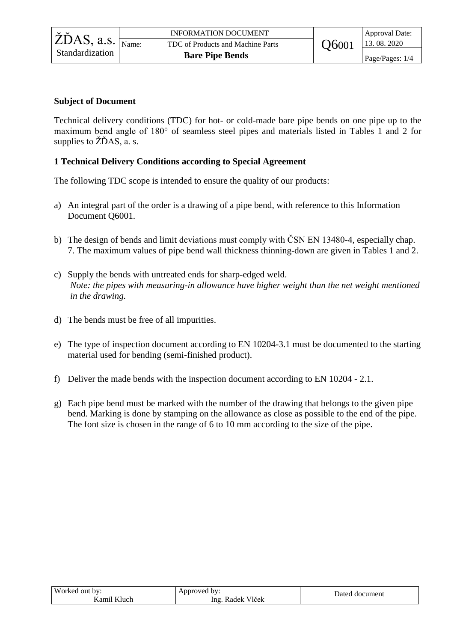## **Subject of Document**

Technical delivery conditions (TDC) for hot- or cold-made bare pipe bends on one pipe up to the maximum bend angle of 180° of seamless steel pipes and materials listed in Tables 1 and 2 for supplies to ŽĎAS, a. s.

## **1 Technical Delivery Conditions according to Special Agreement**

The following TDC scope is intended to ensure the quality of our products:

- a) An integral part of the order is a drawing of a pipe bend, with reference to this Information Document Q6001.
- b) The design of bends and limit deviations must comply with ČSN EN 13480-4, especially chap. 7. The maximum values of pipe bend wall thickness thinning-down are given in Tables 1 and 2.
- c) Supply the bends with untreated ends for sharp-edged weld. *Note: the pipes with measuring-in allowance have higher weight than the net weight mentioned in the drawing.*
- d) The bends must be free of all impurities.
- e) The type of inspection document according to EN 10204-3.1 must be documented to the starting material used for bending (semi-finished product).
- f) Deliver the made bends with the inspection document according to EN 10204 2.1.
- g) Each pipe bend must be marked with the number of the drawing that belongs to the given pipe bend. Marking is done by stamping on the allowance as close as possible to the end of the pipe. The font size is chosen in the range of 6 to 10 mm according to the size of the pipe.

| Worked<br>bv:<br>. out | mproved<br>hv:<br>. .          | Datec.<br>' document |
|------------------------|--------------------------------|----------------------|
| 9m<br>Tuch             | T1V<br>V lček<br>lng.<br>Radek |                      |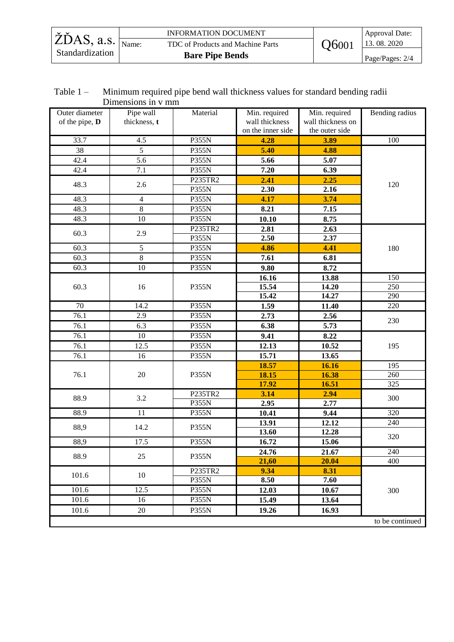|                                               | <b>INFORMATION DOCUMENT</b>       |       | Approval Date:  |
|-----------------------------------------------|-----------------------------------|-------|-----------------|
| $\ddot{Z}$ DAS, a.s. $\frac{1}{\text{Name:}}$ | TDC of Products and Machine Parts | O6001 | 13.08.2020      |
| Standardization                               | <b>Bare Pipe Bends</b>            |       | Page/Pages: 2/4 |

## Table 1 – Minimum required pipe bend wall thickness values for standard bending radii Dimensions in v mm

| Outer diameter<br>of the pipe, D | Pipe wall<br>thickness, t | Material     | Min. required<br>wall thickness<br>on the inner side | Min. required<br>wall thickness on<br>the outer side | Bending radius  |
|----------------------------------|---------------------------|--------------|------------------------------------------------------|------------------------------------------------------|-----------------|
| 33.7                             | 4.5                       | <b>P355N</b> | 4.28                                                 | 3.89                                                 | 100             |
| 38                               | 5                         | P355N        | 5.40                                                 | 4.88                                                 |                 |
| 42.4                             | $\overline{5.6}$          | P355N        | 5.66                                                 | 5.07                                                 |                 |
| 42.4                             | 7.1                       | <b>P355N</b> | 7.20                                                 | 6.39                                                 |                 |
|                                  |                           | P235TR2      | 2.41                                                 | 2.25                                                 |                 |
| 48.3                             | 2.6                       | P355N        | 2.30                                                 | 2.16                                                 | 120             |
| 48.3                             | 4                         | P355N        | 4.17                                                 | 3.74                                                 |                 |
| 48.3                             | 8                         | P355N        | 8.21                                                 | 7.15                                                 |                 |
| 48.3                             | 10                        | P355N        | 10.10                                                | 8.75                                                 |                 |
| 60.3                             |                           | P235TR2      | 2.81                                                 | 2.63                                                 |                 |
|                                  | 2.9                       | P355N        | 2.50                                                 | 2.37                                                 |                 |
| 60.3                             | 5                         | P355N        | 4.86                                                 | 4.41                                                 | 180             |
| 60.3                             | 8                         | P355N        | 7.61                                                 | 6.81                                                 |                 |
| 60.3                             | 10                        | P355N        | 9.80                                                 | 8.72                                                 |                 |
|                                  |                           |              | 16.16                                                | 13.88                                                | 150             |
| 60.3                             | 16                        | P355N        | 15.54                                                | 14.20                                                | 250             |
|                                  |                           |              | 15.42                                                | 14.27                                                | 290             |
| 70                               | 14.2                      | <b>P355N</b> | 1.59                                                 | 11.40                                                | 220             |
| 76.1                             | 2.9                       | P355N        | 2.73                                                 | 2.56                                                 | 230             |
| 76.1                             | 6.3                       | P355N        | 6.38                                                 | 5.73                                                 |                 |
| 76.1                             | 10                        | P355N        | 9.41                                                 | 8.22                                                 |                 |
| 76.1                             | 12.5                      | P355N        | 12.13                                                | 10.52                                                | 195             |
| 76.1                             | 16                        | P355N        | 15.71                                                | 13.65                                                |                 |
|                                  |                           |              | 18.57                                                | 16.16                                                | 195             |
| 76.1                             | 20                        | P355N        | 18.15                                                | 16.38                                                | 260             |
|                                  |                           |              | 17.92                                                | 16.51                                                | 325             |
| 88.9                             | 3.2                       | P235TR2      | 3.14                                                 | 2.94                                                 | 300             |
|                                  |                           | P355N        | 2.95                                                 | 2.77                                                 |                 |
| 88.9                             | 11                        | P355N        | 10.41                                                | 9.44                                                 | 320             |
| 88,9                             | 14.2                      | P355N        | 13.91                                                | 12.12                                                | 240             |
|                                  |                           |              | 13.60                                                | 12.28                                                | 320             |
| 88,9                             | 17.5                      | P355N        | 16.72                                                | 15.06                                                |                 |
| 88.9                             | 25                        | P355N        | 24.76                                                | 21.67                                                | 240             |
|                                  |                           |              | 21,60                                                | 20.04                                                | 400             |
| 101.6                            | 10                        | P235TR2      | 9.34                                                 | 8.31                                                 |                 |
|                                  |                           | <b>P355N</b> | 8.50                                                 | 7.60                                                 |                 |
| 101.6                            | 12.5                      | P355N        | 12.03                                                | 10.67                                                | 300             |
| 101.6                            | 16                        | P355N        | 15.49                                                | 13.64                                                |                 |
| 101.6                            | $20\,$                    | P355N        | 19.26                                                | 16.93                                                |                 |
|                                  |                           |              |                                                      |                                                      | to be continued |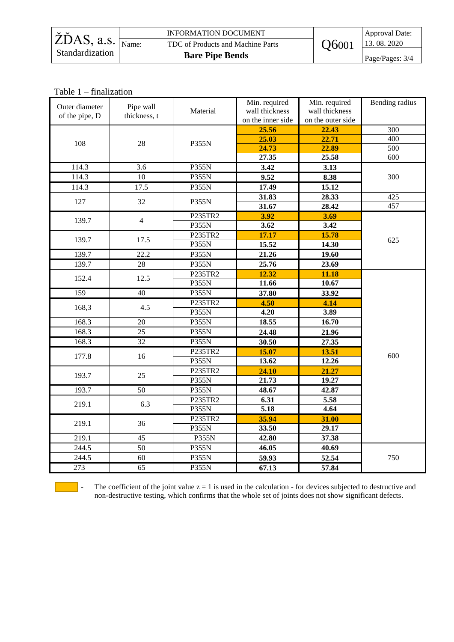|                                              | <b>INFORMATION DOCUMENT</b>       |       | Approval Date:     |
|----------------------------------------------|-----------------------------------|-------|--------------------|
| $\angle$ ŽĎAS, a.s. $\frac{1}{\text{Name:}}$ | TDC of Products and Machine Parts | O6001 | $\vert$ 13.08.2020 |
| Standardization                              | <b>Bare Pipe Bends</b>            |       | Page/Pages: 3/4    |

Table 1 – finalization

| Outer diameter<br>of the pipe, D | Pipe wall<br>thickness, t | Material | Min. required<br>wall thickness<br>on the inner side | Min. required<br>wall thickness<br>on the outer side | Bending radius   |
|----------------------------------|---------------------------|----------|------------------------------------------------------|------------------------------------------------------|------------------|
|                                  |                           |          | 25.56                                                | 22.43                                                | 300              |
| 108                              | 28                        | P355N    | 25.03                                                | 22.71                                                | 400              |
|                                  |                           |          | 24.73                                                | 22.89                                                | $\overline{500}$ |
|                                  |                           |          | 27.35                                                | 25.58                                                | 600              |
| 114.3                            | 3.6                       | P355N    | 3.42                                                 | 3.13                                                 |                  |
| 114.3                            | 10                        | P355N    | 9.52                                                 | 8.38                                                 | 300              |
| 114.3                            | 17.5                      | P355N    | 17.49                                                | 15.12                                                |                  |
| 127                              | 32                        | P355N    | 31.83                                                | 28.33                                                | 425              |
|                                  |                           |          | 31.67                                                | 28.42                                                | 457              |
| 139.7                            | $\overline{4}$            | P235TR2  | 3.92                                                 | 3.69                                                 |                  |
|                                  |                           | P355N    | 3.62                                                 | 3.42                                                 |                  |
| 139.7                            | 17.5                      | P235TR2  | 17.17                                                | 15.78                                                | 625              |
|                                  |                           | P355N    | 15.52                                                | 14.30                                                |                  |
| 139.7                            | 22.2                      | P355N    | 21.26                                                | 19.60                                                |                  |
| 139.7                            | 28                        | P355N    | 25.76                                                | 23.69                                                |                  |
| 152.4                            | 12.5                      | P235TR2  | 12.32                                                | 11.18                                                |                  |
|                                  |                           | P355N    | 11.66                                                | 10.67                                                |                  |
| 159                              | $\overline{40}$           | P355N    | 37.80                                                | 33.92                                                |                  |
| 168,3                            | 4.5                       | P235TR2  | 4.50                                                 | 4.14                                                 |                  |
|                                  |                           | P355N    | 4.20                                                 | 3.89                                                 |                  |
| 168.3                            | 20                        | P355N    | 18.55                                                | 16.70                                                |                  |
| 168.3                            | 25                        | P355N    | 24.48                                                | 21.96                                                |                  |
| 168.3                            | 32                        | P355N    | 30.50                                                | 27.35                                                |                  |
| 177.8                            | 16                        | P235TR2  | 15.07                                                | 13.51                                                | 600              |
|                                  |                           | P355N    | 13.62                                                | 12.26                                                |                  |
| 193.7                            | 25                        | P235TR2  | 24.10                                                | 21.27                                                |                  |
|                                  |                           | P355N    | 21.73                                                | 19.27                                                |                  |
| 193.7                            | 50                        | P355N    | 48.67                                                | 42.87                                                |                  |
| 219.1                            | 6.3                       | P235TR2  | 6.31                                                 | 5.58                                                 |                  |
|                                  |                           | P355N    | 5.18                                                 | 4.64                                                 |                  |
| 219.1                            | 36                        | P235TR2  | 35.94                                                | 31.00                                                |                  |
|                                  |                           | P355N    | 33.50                                                | 29.17                                                |                  |
| 219.1                            | 45                        | P355N    | 42.80                                                | 37.38                                                |                  |
| 244.5                            | $\overline{50}$           | P355N    | 46.05                                                | 40.69                                                |                  |
| 244.5                            | 60                        | P355N    | 59.93                                                | 52.54                                                | 750              |
| 273                              | 65                        | P355N    | 67.13                                                | 57.84                                                |                  |



- The coefficient of the joint value  $z = 1$  is used in the calculation - for devices subjected to destructive and non-destructive testing, which confirms that the whole set of joints does not show significant defects.